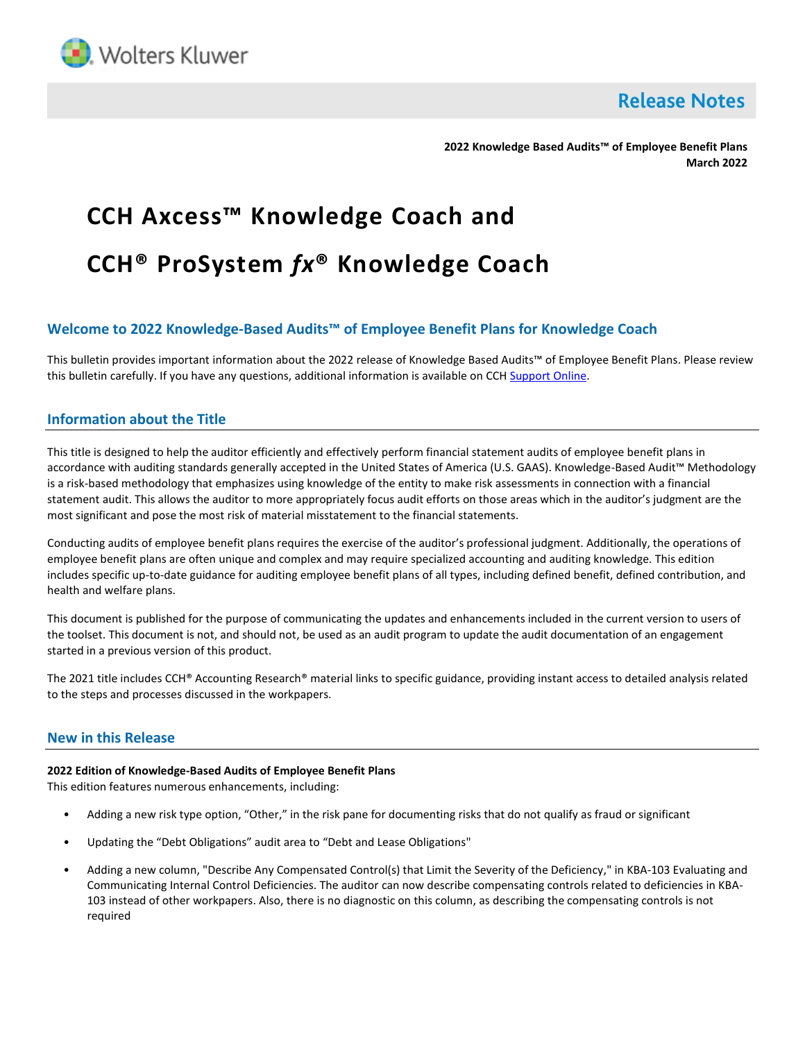

**Release Notes** 

**2022 Knowledge Based Audits™ of Employee Benefit Plans March 2022**

# **CCH Axcess™ Knowledge Coach and CCH® ProSystem** *fx***® Knowledge Coach**

## **Welcome to 2022 Knowledge-Based Audits™ of Employee Benefit Plans for Knowledge Coach**

This bulletin provides important information about the 2022 release of Knowledge Based Audits™ of Employee Benefit Plans. Please review this bulletin carefully. If you have any questions, additional information is available on CCH [Support Online.](http://support.cch.com/productsupport/)

## **Information about the Title**

This title is designed to help the auditor efficiently and effectively perform financial statement audits of employee benefit plans in accordance with auditing standards generally accepted in the United States of America (U.S. GAAS). Knowledge-Based Audit™ Methodology is a risk-based methodology that emphasizes using knowledge of the entity to make risk assessments in connection with a financial statement audit. This allows the auditor to more appropriately focus audit efforts on those areas which in the auditor's judgment are the most significant and pose the most risk of material misstatement to the financial statements.

Conducting audits of employee benefit plans requires the exercise of the auditor's professional judgment. Additionally, the operations of employee benefit plans are often unique and complex and may require specialized accounting and auditing knowledge. This edition includes specific up-to-date guidance for auditing employee benefit plans of all types, including defined benefit, defined contribution, and health and welfare plans.

This document is published for the purpose of communicating the updates and enhancements included in the current version to users of the toolset. This document is not, and should not, be used as an audit program to update the audit documentation of an engagement started in a previous version of this product.

The 2021 title includes CCH® Accounting Research® material links to specific guidance, providing instant access to detailed analysis related to the steps and processes discussed in the workpapers.

## **New in this Release**

#### **2022 Edition of Knowledge-Based Audits of Employee Benefit Plans**

This edition features numerous enhancements, including:

- Adding a new risk type option, "Other," in the risk pane for documenting risks that do not qualify as fraud or significant
- Updating the "Debt Obligations" audit area to "Debt and Lease Obligations"
- Adding a new column, "Describe Any Compensated Control(s) that Limit the Severity of the Deficiency," in KBA-103 Evaluating and Communicating Internal Control Deficiencies. The auditor can now describe compensating controls related to deficiencies in KBA-103 instead of other workpapers. Also, there is no diagnostic on this column, as describing the compensating controls is not required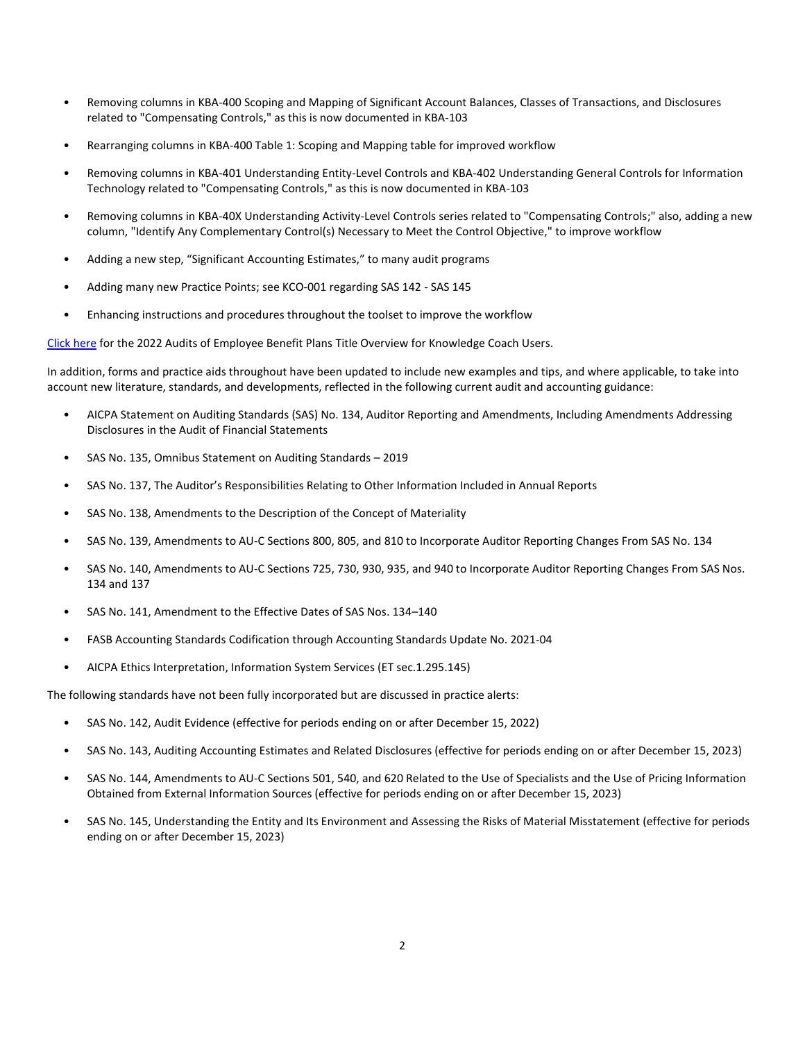- Removing columns in KBA-400 Scoping and Mapping of Significant Account Balances, Classes of Transactions, and Disclosures related to "Compensating Controls," as this is now documented in KBA-103
- Rearranging columns in KBA-400 Table 1: Scoping and Mapping table for improved workflow
- Removing columns in KBA-401 Understanding Entity-Level Controls and KBA-402 Understanding General Controls for Information Technology related to "Compensating Controls," as this is now documented in KBA-103
- Removing columns in KBA-40X Understanding Activity-Level Controls series related to "Compensating Controls;" also, adding a new column, "Identify Any Complementary Control(s) Necessary to Meet the Control Objective," to improve workflow
- Adding a new step, "Significant Accounting Estimates," to many audit programs
- Adding many new Practice Points; see KCO-001 regarding SAS 142 SAS 145
- Enhancing instructions and procedures throughout the toolset to improve the workflow

[Click here](http://d2iceilwdglxpz.cloudfront.net/KC/Overviews/2022%20Employee%20Benefit%20Plans%20Title%20Overview%20for%20Knowledge%20Coach%20Users.pdf%20Knowledge%20Coach%20Users.pdf) for the 2022 Audits of Employee Benefit Plans Title Overview for Knowledge Coach Users.

In addition, forms and practice aids throughout have been updated to include new examples and tips, and where applicable, to take into account new literature, standards, and developments, reflected in the following current audit and accounting guidance:

- AICPA Statement on Auditing Standards (SAS) No. 134, Auditor Reporting and Amendments, Including Amendments Addressing Disclosures in the Audit of Financial Statements
- SAS No. 135, Omnibus Statement on Auditing Standards 2019
- SAS No. 137, The Auditor's Responsibilities Relating to Other Information Included in Annual Reports
- SAS No. 138, Amendments to the Description of the Concept of Materiality
- SAS No. 139, Amendments to AU-C Sections 800, 805, and 810 to Incorporate Auditor Reporting Changes From SAS No. 134
- SAS No. 140, Amendments to AU-C Sections 725, 730, 930, 935, and 940 to Incorporate Auditor Reporting Changes From SAS Nos. 134 and 137
- SAS No. 141, Amendment to the Effective Dates of SAS Nos. 134–140
- FASB Accounting Standards Codification through Accounting Standards Update No. 2021-04
- AICPA Ethics Interpretation, Information System Services (ET sec.1.295.145)

The following standards have not been fully incorporated but are discussed in practice alerts:

- SAS No. 142, Audit Evidence (effective for periods ending on or after December 15, 2022)
- SAS No. 143, Auditing Accounting Estimates and Related Disclosures (effective for periods ending on or after December 15, 2023)
- SAS No. 144, Amendments to AU-C Sections 501, 540, and 620 Related to the Use of Specialists and the Use of Pricing Information Obtained from External Information Sources (effective for periods ending on or after December 15, 2023)
- SAS No. 145, Understanding the Entity and Its Environment and Assessing the Risks of Material Misstatement (effective for periods ending on or after December 15, 2023)